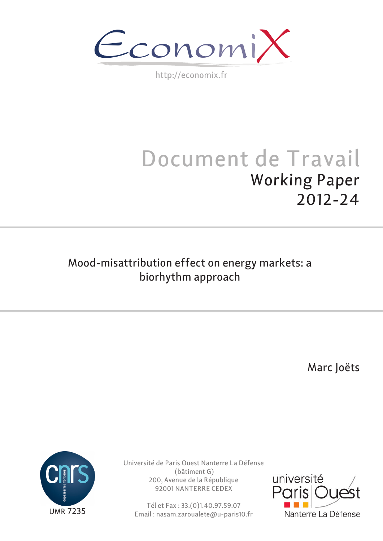EconomiX

http://economix.fr

# Document de Travail Working Paper 2012-24

# Mood-misattribution effect on energy markets: a biorhythm approach

Marc Joëts



Université de Paris Ouest Nanterre La Défense (bâtiment G) 200, Avenue de la République 92001 NANTERRE CEDEX

Tél et Fax : 33.(0)1.40.97.59.07 Email : nasam.zaroualete@u-paris10.fr

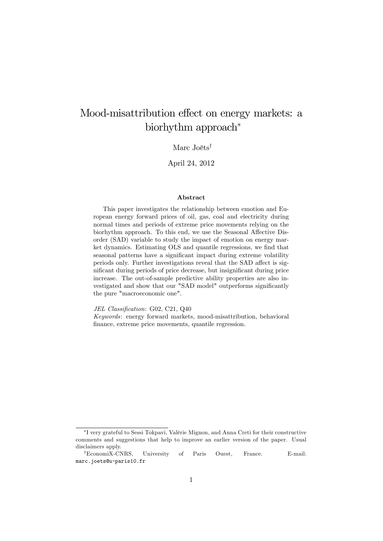# Mood-misattribution effect on energy markets: a biorhythm approach

#### Marc Joëts<sup>†</sup>

#### April 24, 2012

#### Abstract

This paper investigates the relationship between emotion and European energy forward prices of oil, gas, coal and electricity during normal times and periods of extreme price movements relying on the biorhythm approach. To this end, we use the Seasonal Affective Disorder (SAD) variable to study the impact of emotion on energy market dynamics. Estimating OLS and quantile regressions, we find that seasonal patterns have a significant impact during extreme volatility periods only. Further investigations reveal that the SAD affect is significant during periods of price decrease, but insignificant during price increase. The out-of-sample predictive ability properties are also investigated and show that our "SAD model" outperforms significantly the pure "macroeconomic one".

JEL Classification: G02, C21, Q40

Keywords: energy forward markets, mood-misattribution, behavioral finance, extreme price movements, quantile regression.

I very grateful to Sessi Tokpavi, ValÈrie Mignon, and Anna Creti for their constructive comments and suggestions that help to improve an earlier version of the paper. Usual disclaimers apply.

<sup>&</sup>lt;sup>†</sup>EconomiX-CNRS, University of Paris Ouest, France. E-mail: marc.joets@u-paris10.fr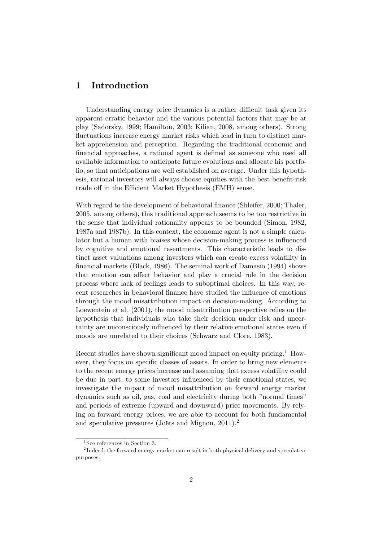### 1 Introduction

Understanding energy price dynamics is a rather difficult task given its apparent erratic behavior and the various potential factors that may be at play (Sadorsky, 1999; Hamilton, 2003; Kilian, 2008, among others). Strong fluctuations increase energy market risks which lead in turn to distinct market apprehension and perception. Regarding the traditional economic and Önancial approaches, a rational agent is deÖned as someone who used all available information to anticipate future evolutions and allocate his portfolio, so that anticipations are well established on average. Under this hypothesis, rational investors will always choose equities with the best benefit-risk trade off in the Efficient Market Hypothesis (EMH) sense.

With regard to the development of behavioral finance (Shleifer, 2000; Thaler, 2005, among others), this traditional approach seems to be too restrictive in the sense that individual rationality appears to be bounded (Simon, 1982, 1987a and 1987b). In this context, the economic agent is not a simple calculator but a human with biaises whose decision-making process is influenced by cognitive and emotional resentments. This characteristic leads to distinct asset valuations among investors which can create excess volatility in Önancial markets (Black, 1986). The seminal work of Damasio (1994) shows that emotion can affect behavior and play a crucial role in the decision process where lack of feelings leads to suboptimal choices. In this way, recent researches in behavioral finance have studied the influence of emotions through the mood misattribution impact on decision-making. According to Loewentein et al. (2001), the mood misattribution perspective relies on the hypothesis that individuals who take their decision under risk and uncertainty are unconsciously ináuenced by their relative emotional states even if moods are unrelated to their choices (Schwarz and Clore, 1983).

Recent studies have shown significant mood impact on equity pricing.<sup>[1](#page-2-0)</sup> However, they focus on specific classes of assets. In order to bring new elements to the recent energy prices increase and assuming that excess volatility could be due in part, to some investors influenced by their emotional states, we investigate the impact of mood misattribution on forward energy market dynamics such as oil, gas, coal and electricity during both "normal times" and periods of extreme (upward and downward) price movements. By relying on forward energy prices, we are able to account for both fundamental and speculative pressures (Joëts and Mignon,  $2011$  $2011$ ).<sup>2</sup>

<span id="page-2-1"></span><span id="page-2-0"></span><sup>1</sup> See references in Section [3.](#page-5-0)

 $2^{2}$ Indeed, the forward energy market can result in both physical delivery and speculative purposes.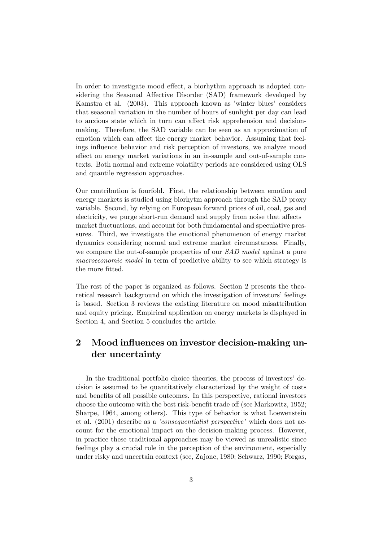In order to investigate mood effect, a biorhythm approach is adopted considering the Seasonal Affective Disorder (SAD) framework developed by Kamstra et al. (2003). This approach known as 'winter blues' considers that seasonal variation in the number of hours of sunlight per day can lead to anxious state which in turn can affect risk apprehension and decisionmaking. Therefore, the SAD variable can be seen as an approximation of emotion which can affect the energy market behavior. Assuming that feelings influence behavior and risk perception of investors, we analyze mood effect on energy market variations in an in-sample and out-of-sample contexts. Both normal and extreme volatility periods are considered using OLS and quantile regression approaches.

Our contribution is fourfold. First, the relationship between emotion and energy markets is studied using biorhytm approach through the SAD proxy variable. Second, by relying on European forward prices of oil, coal, gas and electricity, we purge short-run demand and supply from noise that affects market fluctuations, and account for both fundamental and speculative pressures. Third, we investigate the emotional phenomenon of energy market dynamics considering normal and extreme market circumstances. Finally, we compare the out-of-sample properties of our SAD model against a pure macroeconomic model in term of predictive ability to see which strategy is the more fitted.

The rest of the paper is organized as follows. Section 2 presents the theoretical research background on which the investigation of investors' feelings is based. Section 3 reviews the existing literature on mood misattribution and equity pricing. Empirical application on energy markets is displayed in Section 4, and Section 5 concludes the article.

# 2 Mood influences on investor decision-making under uncertainty

In the traditional portfolio choice theories, the process of investors' decision is assumed to be quantitatively characterized by the weight of costs and benefits of all possible outcomes. In this perspective, rational investors choose the outcome with the best risk-benefit trade off (see Markowitz, 1952; Sharpe, 1964, among others). This type of behavior is what Loewenstein et al.  $(2001)$  describe as a *consequentialist perspective* which does not account for the emotional impact on the decision-making process. However, in practice these traditional approaches may be viewed as unrealistic since feelings play a crucial role in the perception of the environment, especially under risky and uncertain context (see, Zajonc, 1980; Schwarz, 1990; Forgas,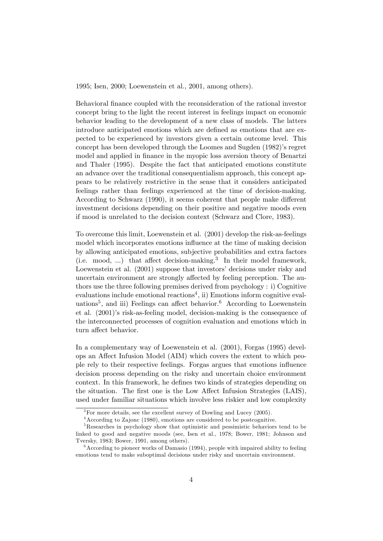1995; Isen, 2000; Loewenstein et al., 2001, among others).

Behavioral finance coupled with the reconsideration of the rational investor concept bring to the light the recent interest in feelings impact on economic behavior leading to the development of a new class of models. The latters introduce anticipated emotions which are defined as emotions that are expected to be experienced by investors given a certain outcome level. This concept has been developed through the Loomes and Sugden (1982)'s regret model and applied in finance in the myopic loss aversion theory of Benartzi and Thaler (1995). Despite the fact that anticipated emotions constitute an advance over the traditional consequentialism approach, this concept appears to be relatively restrictive in the sense that it considers anticipated feelings rather than feelings experienced at the time of decision-making. According to Schwarz (1990), it seems coherent that people make different investment decisions depending on their positive and negative moods even if mood is unrelated to the decision context (Schwarz and Clore, 1983).

To overcome this limit, Loewenstein et al. (2001) develop the risk-as-feelings model which incorporates emotions influence at the time of making decision by allowing anticipated emotions, subjective probabilities and extra factors  $(i.e. \mod, ...)$  that affect decision-making.<sup>[3](#page-4-0)</sup> In their model framework, Loewenstein et al.  $(2001)$  suppose that investors' decisions under risky and uncertain environment are strongly affected by feeling perception. The authors use the three following premises derived from psychology : i) Cognitive  $evaluations$  include emotional reactions<sup>[4](#page-4-1)</sup>, ii) Emotions inform cognitive eval-uations<sup>[5](#page-4-2)</sup>, and iii) Feelings can affect behavior.<sup>[6](#page-4-3)</sup> According to Loewenstein et al. (2001)'s risk-as-feeling model, decision-making is the consequence of the interconnected processes of cognition evaluation and emotions which in turn affect behavior.

In a complementary way of Loewenstein et al. (2001), Forgas (1995) develops an Affect Infusion Model (AIM) which covers the extent to which people rely to their respective feelings. Forgas argues that emotions ináuence decision process depending on the risky and uncertain choice environment context. In this framework, he defines two kinds of strategies depending on the situation. The first one is the Low Affect Infusion Strategies (LAIS), used under familiar situations which involve less riskier and low complexity

<span id="page-4-1"></span><span id="page-4-0"></span><sup>&</sup>lt;sup>3</sup>For more details, see the excellent survey of Dowling and Lucey (2005).

<span id="page-4-2"></span><sup>4</sup>According to Zajonc (1980), emotions are considered to be postcognitive.

<sup>&</sup>lt;sup>5</sup>Researches in psychology show that optimistic and pessimistic behaviors tend to be linked to good and negative moods (see, Isen et al., 1978; Bower, 1981; Johnson and Tversky, 1983; Bower, 1991, among others).

<span id="page-4-3"></span> $6$ According to pioneer works of Damasio (1994), people with impaired ability to feeling emotions tend to make suboptimal decisions under risky and uncertain environment.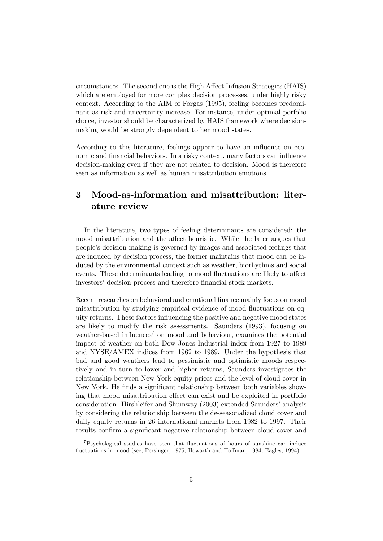circumstances. The second one is the High Affect Infusion Strategies (HAIS) which are employed for more complex decision processes, under highly risky context. According to the AIM of Forgas (1995), feeling becomes predominant as risk and uncertainty increase. For instance, under optimal porfolio choice, investor should be characterized by HAIS framework where decisionmaking would be strongly dependent to her mood states.

According to this literature, feelings appear to have an influence on economic and financial behaviors. In a risky context, many factors can influence decision-making even if they are not related to decision. Mood is therefore seen as information as well as human misattribution emotions.

# <span id="page-5-0"></span>3 Mood-as-information and misattribution: literature review

In the literature, two types of feeling determinants are considered: the mood misattribution and the affect heuristic. While the later argues that peopleís decision-making is governed by images and associated feelings that are induced by decision process, the former maintains that mood can be induced by the environmental context such as weather, biorhythms and social events. These determinants leading to mood fluctuations are likely to affect investors' decision process and therefore financial stock markets.

Recent researches on behavioral and emotional finance mainly focus on mood misattribution by studying empirical evidence of mood fluctuations on equity returns. These factors ináuencing the positive and negative mood states are likely to modify the risk assessments. Saunders (1993), focusing on weather-based influences<sup>[7](#page-5-1)</sup> on mood and behaviour, examines the potential impact of weather on both Dow Jones Industrial index from 1927 to 1989 and NYSE/AMEX indices from 1962 to 1989. Under the hypothesis that bad and good weathers lead to pessimistic and optimistic moods respectively and in turn to lower and higher returns, Saunders investigates the relationship between New York equity prices and the level of cloud cover in New York. He finds a significant relationship between both variables showing that mood misattribution effect can exist and be exploited in portfolio consideration. Hirshleifer and Shumway (2003) extended Saunders' analysis by considering the relationship between the de-seasonalized cloud cover and daily equity returns in 26 international markets from 1982 to 1997. Their results confirm a significant negative relationship between cloud cover and

<span id="page-5-1"></span> $7$ Psychological studies have seen that fluctuations of hours of sunshine can induce fluctuations in mood (see, Persinger, 1975; Howarth and Hoffman, 1984; Eagles, 1994).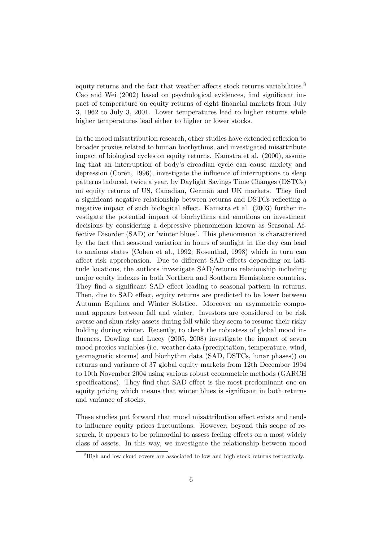equity returns and the fact that weather affects stock returns variabilities.<sup>[8](#page-6-0)</sup> Cao and Wei (2002) based on psychological evidences, find significant impact of temperature on equity returns of eight Önancial markets from July 3, 1962 to July 3, 2001. Lower temperatures lead to higher returns while higher temperatures lead either to higher or lower stocks.

In the mood misattribution research, other studies have extended reflexion to broader proxies related to human biorhythms, and investigated misattribute impact of biological cycles on equity returns. Kamstra et al. (2000), assuming that an interruption of bodyís circadian cycle can cause anxiety and depression (Coren, 1996), investigate the influence of interruptions to sleep patterns induced, twice a year, by Daylight Savings Time Changes (DSTCs) on equity returns of US, Canadian, German and UK markets. They Önd a significant negative relationship between returns and DSTCs reflecting a negative impact of such biological effect. Kamstra et al. (2003) further investigate the potential impact of biorhythms and emotions on investment decisions by considering a depressive phenomenon known as Seasonal Affective Disorder (SAD) or 'winter blues'. This phenomenon is characterized by the fact that seasonal variation in hours of sunlight in the day can lead to anxious states (Cohen et al., 1992; Rosenthal, 1998) which in turn can affect risk apprehension. Due to different SAD effects depending on latitude locations, the authors investigate SAD/returns relationship including major equity indexes in both Northern and Southern Hemisphere countries. They find a significant SAD effect leading to seasonal pattern in returns. Then, due to SAD effect, equity returns are predicted to be lower between Autumn Equinox and Winter Solstice. Moreover an asymmetric component appears between fall and winter. Investors are considered to be risk averse and shun risky assets during fall while they seem to resume their risky holding during winter. Recently, to check the robustess of global mood influences, Dowling and Lucey (2005, 2008) investigate the impact of seven mood proxies variables (i.e. weather data (precipitation, temperature, wind, geomagnetic storms) and biorhythm data (SAD, DSTCs, lunar phases)) on returns and variance of 37 global equity markets from 12th December 1994 to 10th November 2004 using various robust econometric methods (GARCH specifications). They find that SAD effect is the most predominant one on equity pricing which means that winter blues is significant in both returns and variance of stocks.

These studies put forward that mood misattribution effect exists and tends to influence equity prices fluctuations. However, beyond this scope of research, it appears to be primordial to assess feeling effects on a most widely class of assets. In this way, we investigate the relationship between mood

<span id="page-6-0"></span><sup>&</sup>lt;sup>8</sup>High and low cloud covers are associated to low and high stock returns respectively.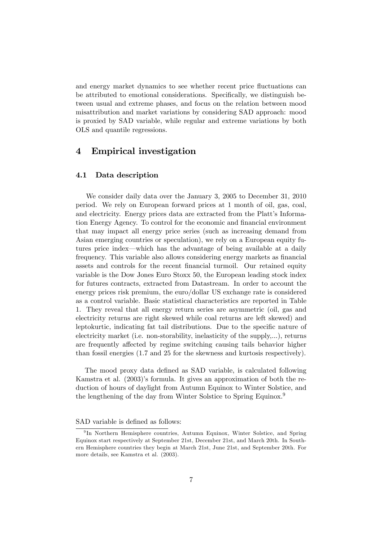and energy market dynamics to see whether recent price fluctuations can be attributed to emotional considerations. Specifically, we distinguish between usual and extreme phases, and focus on the relation between mood misattribution and market variations by considering SAD approach: mood is proxied by SAD variable, while regular and extreme variations by both OLS and quantile regressions.

## 4 Empirical investigation

#### 4.1 Data description

We consider daily data over the January 3, 2005 to December 31, 2010 period. We rely on European forward prices at 1 month of oil, gas, coal, and electricity. Energy prices data are extracted from the Platt's Information Energy Agency. To control for the economic and financial environment that may impact all energy price series (such as increasing demand from Asian emerging countries or speculation), we rely on a European equity futures price index—which has the advantage of being available at a daily frequency. This variable also allows considering energy markets as financial assets and controls for the recent financial turmoil. Our retained equity variable is the Dow Jones Euro Stoxx 50, the European leading stock index for futures contracts, extracted from Datastream. In order to account the energy prices risk premium, the euro/dollar US exchange rate is considered as a control variable. Basic statistical characteristics are reported in Table [1.](#page-18-0) They reveal that all energy return series are asymmetric (oil, gas and electricity returns are right skewed while coal returns are left skewed) and leptokurtic, indicating fat tail distributions. Due to the specific nature of electricity market (i.e. non-storability, inelasticity of the supply,...), returns are frequently affected by regime switching causing tails behavior higher than fossil energies (1.7 and 25 for the skewness and kurtosis respectively).

The mood proxy data defined as SAD variable, is calculated following Kamstra et al. (2003)'s formula. It gives an approximation of both the reduction of hours of daylight from Autumn Equinox to Winter Solstice, and the lengthening of the day from Winter Solstice to Spring Equinox.<sup>[9](#page-7-0)</sup>

#### SAD variable is defined as follows:

<span id="page-7-0"></span><sup>9</sup> In Northern Hemisphere countries, Autumn Equinox, Winter Solstice, and Spring Equinox start respectively at September 21st, December 21st, and March 20th. In Southern Hemisphere countries they begin at March 21st, June 21st, and September 20th. For more details, see Kamstra et al. (2003).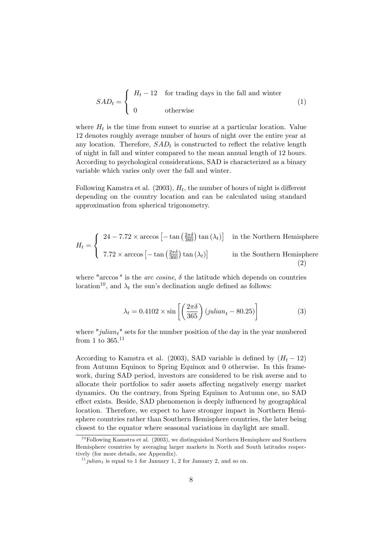$$
SAD_t = \begin{cases} H_t - 12 & \text{for trading days in the fall and winter} \\ 0 & \text{otherwise} \end{cases} \tag{1}
$$

where  $H_t$  is the time from sunset to sunrise at a particular location. Value 12 denotes roughly average number of hours of night over the entire year at any location. Therefore,  $SAD_t$  is constructed to reflect the relative length of night in fall and winter compared to the mean annual length of 12 hours. According to psychological considerations, SAD is characterized as a binary variable which varies only over the fall and winter.

Following Kamstra et al.  $(2003)$ ,  $H_t$ , the number of hours of night is different depending on the country location and can be calculated using standard approximation from spherical trigonometry.

$$
H_t = \begin{cases} 24 - 7.72 \times \arccos\left[-\tan\left(\frac{2\pi\delta}{360}\right)\tan\left(\lambda_t\right)\right] & \text{in the Northern Hemisphere} \\ 7.72 \times \arccos\left[-\tan\left(\frac{2\pi\delta}{360}\right)\tan\left(\lambda_t\right)\right] & \text{in the Southern Hemisphere} \end{cases} \tag{2}
$$

where "arccos" is the *arc cosine*,  $\delta$  the latitude which depends on countries location<sup>[10](#page-8-0)</sup>, and  $\lambda_t$  the sun's declination angle defined as follows:

$$
\lambda_t = 0.4102 \times \sin\left[\left(\frac{2\pi\delta}{365}\right)(julian_t - 80.25)\right]
$$
 (3)

where "julian<sub>t</sub>" sets for the number position of the day in the year numbered from 1 to  $365.^{11}$  $365.^{11}$  $365.^{11}$ 

According to Kamstra et al. (2003), SAD variable is defined by  $(H_t - 12)$ from Autumn Equinox to Spring Equinox and 0 otherwise. In this framework, during SAD period, investors are considered to be risk averse and to allocate their portfolios to safer assets affecting negatively energy market dynamics. On the contrary, from Spring Equinox to Autumn one, no SAD effect exists. Beside, SAD phenomenon is deeply influenced by geographical location. Therefore, we expect to have stronger impact in Northern Hemisphere countries rather than Southern Hemisphere countries, the later being closest to the equator where seasonal variations in daylight are small.

<span id="page-8-0"></span> $10$ Following Kamstra et al. (2003), we distinguished Northern Hemisphere and Southern Hemisphere countries by averaging larger markets in North and South latitudes respectively (for more details, see Appendix).

<span id="page-8-1"></span> $11$  julian<sub>t</sub> is equal to 1 for January 1, 2 for January 2, and so on.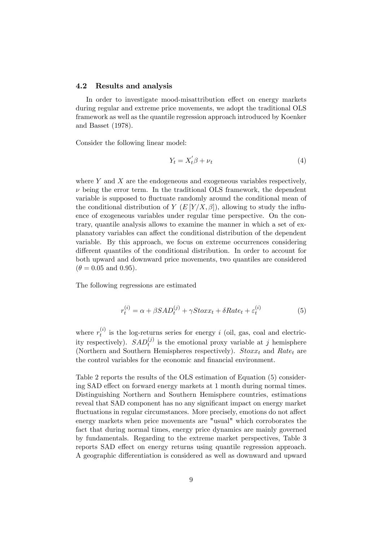#### 4.2 Results and analysis

In order to investigate mood-misattribution effect on energy markets during regular and extreme price movements, we adopt the traditional OLS framework as well as the quantile regression approach introduced by Koenker and Basset (1978).

Consider the following linear model:

$$
Y_t = X_t' \beta + \nu_t \tag{4}
$$

where  $Y$  and  $X$  are the endogeneous and exogeneous variables respectively,  $\nu$  being the error term. In the traditional OLS framework, the dependent variable is supposed to fluctuate randomly around the conditional mean of the conditional distribution of  $Y(E[Y/X, \beta])$ , allowing to study the influence of exogeneous variables under regular time perspective. On the contrary, quantile analysis allows to examine the manner in which a set of explanatory variables can affect the conditional distribution of the dependent variable. By this approach, we focus on extreme occurrences considering different quantiles of the conditional distribution. In order to account for both upward and downward price movements, two quantiles are considered  $(\theta = 0.05$  and 0.95).

The following regressions are estimated

$$
r_t^{(i)} = \alpha + \beta SAD_t^{(j)} + \gamma Stoxx_t + \delta Rate_t + \varepsilon_t^{(i)}
$$
(5)

where  $r_t^{(i)}$  $t_i^{(i)}$  is the log-returns series for energy i (oil, gas, coal and electricity respectively).  $SAD_t^{(j)}$  is the emotional proxy variable at j hemisphere (Northern and Southern Hemispheres respectively).  $Stoxx_t$  and  $Rate_t$  are the control variables for the economic and financial environment.

Table [2](#page-19-0) reports the results of the OLS estimation of Equation (5) considering SAD effect on forward energy markets at 1 month during normal times. Distinguishing Northern and Southern Hemisphere countries, estimations reveal that SAD component has no any significant impact on energy market fluctuations in regular circumstances. More precisely, emotions do not affect energy markets when price movements are "usual" which corroborates the fact that during normal times, energy price dynamics are mainly governed by fundamentals. Regarding to the extreme market perspectives, Table [3](#page-20-0) reports SAD effect on energy returns using quantile regression approach. A geographic differentiation is considered as well as downward and upward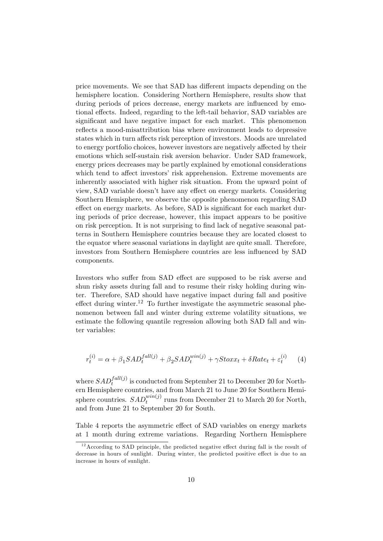price movements. We see that SAD has different impacts depending on the hemisphere location. Considering Northern Hemisphere, results show that during periods of prices decrease, energy markets are influenced by emotional effects. Indeed, regarding to the left-tail behavior, SAD variables are significant and have negative impact for each market. This phenomenon reflects a mood-misattribution bias where environment leads to depressive states which in turn affects risk perception of investors. Moods are unrelated to energy portfolio choices, however investors are negatively affected by their emotions which self-sustain risk aversion behavior. Under SAD framework, energy prices decreases may be partly explained by emotional considerations which tend to affect investors' risk apprehension. Extreme movements are inherently associated with higher risk situation. From the upward point of view, SAD variable doesn't have any effect on energy markets. Considering Southern Hemisphere, we observe the opposite phenomenon regarding SAD effect on energy markets. As before, SAD is significant for each market during periods of price decrease, however, this impact appears to be positive on risk perception. It is not surprising to Önd lack of negative seasonal patterns in Southern Hemisphere countries because they are located closest to the equator where seasonal variations in daylight are quite small. Therefore, investors from Southern Hemisphere countries are less influenced by SAD components.

Investors who suffer from SAD effect are supposed to be risk averse and shun risky assets during fall and to resume their risky holding during winter. Therefore, SAD should have negative impact during fall and positive effect during winter.<sup>[12](#page-10-0)</sup> To further investigate the asymmetric seasonal phenomenon between fall and winter during extreme volatility situations, we estimate the following quantile regression allowing both SAD fall and winter variables:

$$
r_t^{(i)} = \alpha + \beta_1 SAD_t^{fall(j)} + \beta_2 SAD_t^{win(j)} + \gamma Stoxx_t + \delta Rate_t + \varepsilon_t^{(i)} \tag{4}
$$

where  $SAD_t^{fall(j)}$  is conducted from September 21 to December 20 for Northern Hemisphere countries, and from March 21 to June 20 for Southern Hemisphere countries.  $SAD_t^{win(j)}$  runs from December 21 to March 20 for North, and from June 21 to September 20 for South.

Table [4](#page-21-0) reports the asymmetric effect of SAD variables on energy markets at 1 month during extreme variations. Regarding Northern Hemisphere

<span id="page-10-0"></span> $12$ According to SAD principle, the predicted negative effect during fall is the result of decrease in hours of sunlight. During winter, the predicted positive effect is due to an increase in hours of sunlight.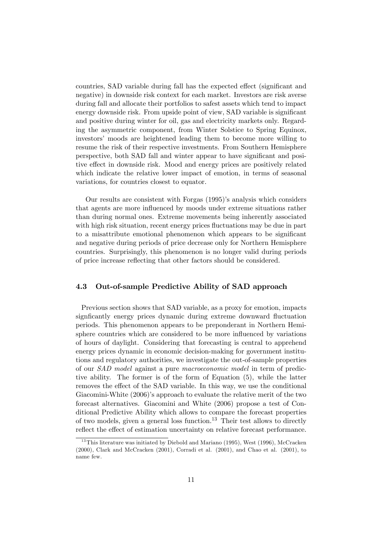countries, SAD variable during fall has the expected effect (significant and negative) in downside risk context for each market. Investors are risk averse during fall and allocate their portfolios to safest assets which tend to impact energy downside risk. From upside point of view, SAD variable is significant and positive during winter for oil, gas and electricity markets only. Regarding the asymmetric component, from Winter Solstice to Spring Equinox, investors' moods are heightened leading them to become more willing to resume the risk of their respective investments. From Southern Hemisphere perspective, both SAD fall and winter appear to have significant and positive effect in downside risk. Mood and energy prices are positively related which indicate the relative lower impact of emotion, in terms of seasonal variations, for countries closest to equator.

Our results are consistent with Forgas (1995)'s analysis which considers that agents are more influenced by moods under extreme situations rather than during normal ones. Extreme movements being inherently associated with high risk situation, recent energy prices fluctuations may be due in part to a misattribute emotional phenomenon which appears to be significant and negative during periods of price decrease only for Northern Hemisphere countries. Surprisingly, this phenomenon is no longer valid during periods of price increase reflecting that other factors should be considered.

#### 4.3 Out-of-sample Predictive Ability of SAD approach

Previous section shows that SAD variable, as a proxy for emotion, impacts significantly energy prices dynamic during extreme downward fluctuation periods. This phenomenon appears to be preponderant in Northern Hemisphere countries which are considered to be more influenced by variations of hours of daylight. Considering that forecasting is central to apprehend energy prices dynamic in economic decision-making for government institutions and regulatory authorities, we investigate the out-of-sample properties of our SAD model against a pure macroeconomic model in term of predictive ability. The former is of the form of Equation (5), while the latter removes the effect of the SAD variable. In this way, we use the conditional Giacomini-White (2006)'s approach to evaluate the relative merit of the two forecast alternatives. Giacomini and White (2006) propose a test of Conditional Predictive Ability which allows to compare the forecast properties of two models, given a general loss function.<sup>[13](#page-11-0)</sup> Their test allows to directly reflect the effect of estimation uncertainty on relative forecast performance.

<span id="page-11-0"></span> $13$ This literature was initiated by Diebold and Mariano (1995), West (1996), McCracken (2000), Clark and McCracken (2001), Corradi et al. (2001), and Chao et al. (2001), to name few.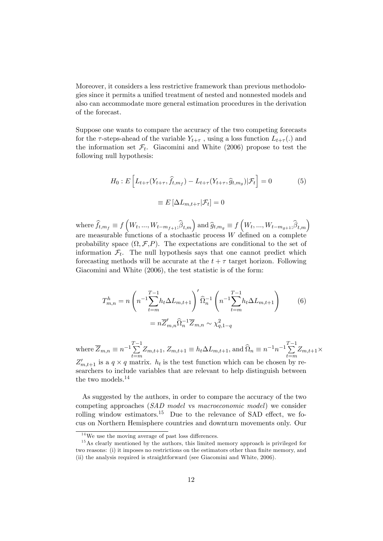Moreover, it considers a less restrictive framework than previous methodologies since it permits a unified treatment of nested and nonnested models and also can accommodate more general estimation procedures in the derivation of the forecast.

Suppose one wants to compare the accuracy of the two competing forecasts for the  $\tau$ -steps-ahead of the variable  $Y_{t+\tau}$ , using a loss function  $L_{t+\tau}$ . the information set  $\mathcal{F}_t$ . Giacomini and White (2006) propose to test the following null hypothesis:

$$
H_0: E\left[L_{t+\tau}(Y_{t+\tau}, \hat{f}_{t,m_f}) - L_{t+\tau}(Y_{t+\tau}, \hat{g}_{t,m_g}) | \mathcal{F}_t\right] = 0
$$
\n
$$
\equiv E\left[\Delta L_{m,t+\tau} | \mathcal{F}_t\right] = 0
$$
\n(5)

where  $\widehat{f}_{t,m_f} \equiv f\left(W_t,...,W_{t-m_{f+1}};\widehat{\beta}_{t,m}\right)$  and  $\widehat{g}_{t,m_g} \equiv f\left(W_t,...,W_{t-m_{g+1}};\widehat{\beta}_{t,m}\right)$ are measurable functions of a stochastic process  $W$  defined on a complete probability space  $(\Omega, \mathcal{F}, P)$ . The expectations are conditional to the set of information  $\mathcal{F}_t$ . The null hypothesis says that one cannot predict which forecasting methods will be accurate at the  $t + \tau$  target horizon. Following Giacomini and White (2006), the test statistic is of the form:

$$
T_{m,n}^{h} = n \left( n^{-1} \sum_{t=m}^{T-1} h_t \Delta L_{m,t+1} \right)' \hat{\Omega}_n^{-1} \left( n^{-1} \sum_{t=m}^{T-1} h_t \Delta L_{m,t+1} \right) \tag{6}
$$

$$
= n \overline{Z}_{m,n}' \hat{\Omega}_n^{-1} \overline{Z}_{m,n} \sim \chi_{q,1-q}^2
$$

where  $\overline{Z}_{m,n} \equiv n^{-1} \sum_{n=1}^{T-1}$  $\sum_{t=m}^{T-1} Z_{m,t+1}, Z_{m,t+1} \equiv h_t \Delta L_{m,t+1}, \text{ and } \hat{\Omega}_n \equiv n^{-1} n^{-1} \sum_{t=m}^{T-1}$  $\sum_{t=m} Z_{m,t+1} \times$  $Z'_{m,t+1}$  is a  $q \times q$  matrix.  $h_t$  is the test function which can be chosen by researchers to include variables that are relevant to help distinguish between the two models.<sup>[14](#page-12-0)</sup>

As suggested by the authors, in order to compare the accuracy of the two competing approaches (SAD model vs macroeconomic model) we consider rolling window estimators.<sup>[15](#page-12-1)</sup> Due to the relevance of SAD effect, we focus on Northern Hemisphere countries and downturn movements only. Our

<span id="page-12-1"></span><span id="page-12-0"></span> $14$ We use the moving average of past loss differences.

<sup>&</sup>lt;sup>15</sup>As clearly mentioned by the authors, this limited memory approach is privileged for two reasons: (i) it imposes no restrictions on the estimators other than finite memory, and

<sup>(</sup>ii) the analysis required is straightforward (see Giacomini and White, 2006).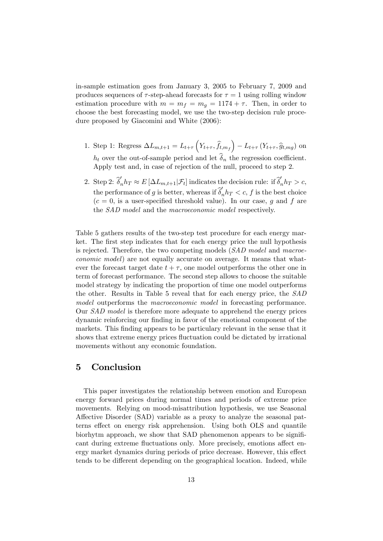in-sample estimation goes from January 3, 2005 to February 7, 2009 and produces sequences of  $\tau$ -step-ahead forecasts for  $\tau = 1$  using rolling window estimation procedure with  $m = m_f = m_g = 1174 + \tau$ . Then, in order to choose the best forecasting model, we use the two-step decision rule procedure proposed by Giacomini and White (2006):

- 1. Step 1: Regress  $\Delta L_{m,t+1} = L_{t+\tau} \left( Y_{t+\tau}, \hat{f}_{t,m_f} \right) L_{t+\tau} \left( Y_{t+\tau}, \hat{g}_{t,mg} \right)$  on  $h_t$  over the out-of-sample period and let  $\widehat{\delta}_n$  the regression coefficient. Apply test and, in case of rejection of the null, proceed to step 2.
- 2. Step 2:  $\hat{\delta}'_n h_T \approx E[\Delta L_{m,t+1}|\mathcal{F}_t]$  indicates the decision rule: if  $\hat{\delta}'_n h_T > c$ , the performance of g is better, whereas if  $\hat{\delta}'_n h_T < c$ , f is the best choice  $(c = 0)$ , is a user-specified threshold value). In our case, g and f are the SAD model and the macroeconomic model respectively.

Table [5](#page-21-1) gathers results of the two-step test procedure for each energy market. The first step indicates that for each energy price the null hypothesis is rejected. Therefore, the two competing models (SAD model and macroeconomic model) are not equally accurate on average. It means that whatever the forecast target date  $t + \tau$ , one model outperforms the other one in term of forecast performance. The second step allows to choose the suitable model strategy by indicating the proportion of time one model outperforms the other. Results in Table [5](#page-21-1) reveal that for each energy price, the SAD model outperforms the *macroeconomic model* in forecasting performance. Our SAD model is therefore more adequate to apprehend the energy prices dynamic reinforcing our finding in favor of the emotional component of the markets. This finding appears to be particulary relevant in the sense that it shows that extreme energy prices áuctuation could be dictated by irrational movements without any economic foundation.

#### 5 Conclusion

This paper investigates the relationship between emotion and European energy forward prices during normal times and periods of extreme price movements. Relying on mood-misattribution hypothesis, we use Seasonal Affective Disorder (SAD) variable as a proxy to analyze the seasonal patterns effect on energy risk apprehension. Using both OLS and quantile biorhytm approach, we show that SAD phenomenon appears to be significant during extreme fluctuations only. More precisely, emotions affect energy market dynamics during periods of price decrease. However, this effect tends to be different depending on the geographical location. Indeed, while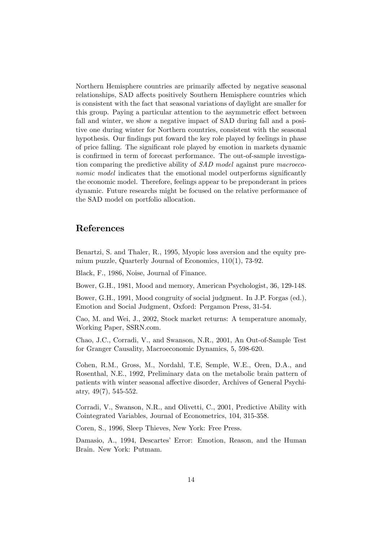Northern Hemisphere countries are primarily affected by negative seasonal relationships, SAD affects positively Southern Hemisphere countries which is consistent with the fact that seasonal variations of daylight are smaller for this group. Paying a particular attention to the asymmetric effect between fall and winter, we show a negative impact of SAD during fall and a positive one during winter for Northern countries, consistent with the seasonal hypothesis. Our findings put foward the key role played by feelings in phase of price falling. The significant role played by emotion in markets dynamic is confirmed in term of forecast performance. The out-of-sample investigation comparing the predictive ability of SAD model against pure macroeconomic model indicates that the emotional model outperforms significantly the economic model. Therefore, feelings appear to be preponderant in prices dynamic. Future researchs might be focused on the relative performance of the SAD model on portfolio allocation.

## References

Benartzi, S. and Thaler, R., 1995, Myopic loss aversion and the equity premium puzzle, Quarterly Journal of Economics, 110(1), 73-92.

Black, F., 1986, Noise, Journal of Finance.

Bower, G.H., 1981, Mood and memory, American Psychologist, 36, 129-148.

Bower, G.H., 1991, Mood congruity of social judgment. In J.P. Forgas (ed.), Emotion and Social Judgment, Oxford: Pergamon Press, 31-54.

Cao, M. and Wei, J., 2002, Stock market returns: A temperature anomaly, Working Paper, SSRN.com.

Chao, J.C., Corradi, V., and Swanson, N.R., 2001, An Out-of-Sample Test for Granger Causality, Macroeconomic Dynamics, 5, 598-620.

Cohen, R.M., Gross, M., Nordahl, T.E, Semple, W.E., Oren, D.A., and Rosenthal, N.E., 1992, Preliminary data on the metabolic brain pattern of patients with winter seasonal affective disorder, Archives of General Psychiatry, 49(7), 545-552.

Corradi, V., Swanson, N.R., and Olivetti, C., 2001, Predictive Ability with Cointegrated Variables, Journal of Econometrics, 104, 315-358.

Coren, S., 1996, Sleep Thieves, New York: Free Press.

Damasio, A., 1994, Descartes' Error: Emotion, Reason, and the Human Brain. New York: Putmam.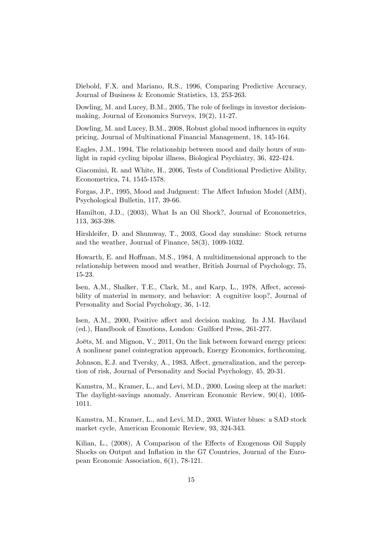Diebold, F.X. and Mariano, R.S., 1996, Comparing Predictive Accuracy, Journal of Business & Economic Statistics, 13, 253-263.

Dowling, M. and Lucey, B.M., 2005, The role of feelings in investor decisionmaking, Journal of Economics Surveys, 19(2), 11-27.

Dowling, M. and Lucey, B.M., 2008, Robust global mood influences in equity pricing, Journal of Multinational Financial Management, 18, 145-164.

Eagles, J.M., 1994, The relationship between mood and daily hours of sunlight in rapid cycling bipolar illness, Biological Psychiatry, 36, 422-424.

Giacomini, R. and White, H., 2006, Tests of Conditional Predictive Ability, Econometrica, 74, 1545-1578.

Forgas, J.P., 1995, Mood and Judgment: The Affect Infusion Model (AIM), Psychological Bulletin, 117, 39-66.

Hamilton, J.D., (2003), What Is an Oil Shock?, Journal of Econometrics, 113, 363-398.

Hirshleifer, D. and Shumway, T., 2003, Good day sunshine: Stock returns and the weather, Journal of Finance, 58(3), 1009-1032.

Howarth, E. and Hoffman, M.S., 1984, A multidimensional approach to the relationship between mood and weather, British Journal of Psychology, 75, 15-23.

Isen, A.M., Shalker, T.E., Clark, M., and Karp, L., 1978, Affect, accessibility of material in memory, and behavior: A cognitive loop?, Journal of Personality and Social Psychology, 36, 1-12.

Isen, A.M., 2000, Positive affect and decision making. In J.M. Haviland (ed.), Handbook of Emotions, London: Guilford Press, 261-277.

Joëts, M. and Mignon, V., 2011, On the link between forward energy prices: A nonlinear panel cointegration approach, Energy Economics, forthcoming.

Johnson, E.J. and Tversky, A., 1983, Affect, generalization, and the perception of risk, Journal of Personality and Social Psychology, 45, 20-31.

Kamstra, M., Kramer, L., and Levi, M.D., 2000, Losing sleep at the market: The daylight-savings anomaly, American Economic Review, 90(4), 1005- 1011.

Kamstra, M., Kramer, L., and Levi, M.D., 2003, Winter blues: a SAD stock market cycle, American Economic Review, 93, 324-343.

Kilian, L., (2008), A Comparison of the Effects of Exogenous Oil Supply Shocks on Output and Ináation in the G7 Countries, Journal of the European Economic Association, 6(1), 78-121.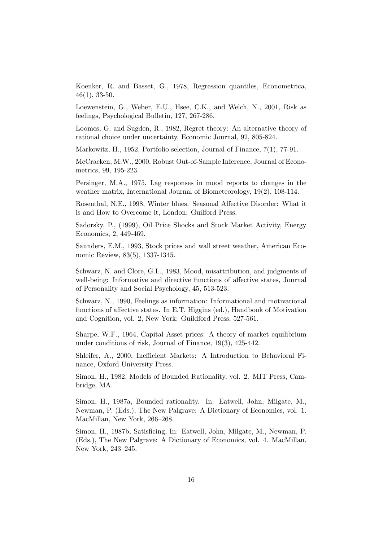Koenker, R. and Basset, G., 1978, Regression quantiles, Econometrica, 46(1), 33-50.

Loewenstein, G., Weber, E.U., Hsee, C.K., and Welch, N., 2001, Risk as feelings, Psychological Bulletin, 127, 267-286.

Loomes, G. and Sugden, R., 1982, Regret theory: An alternative theory of rational choice under uncertainty, Economic Journal, 92, 805-824.

Markowitz, H., 1952, Portfolio selection, Journal of Finance, 7(1), 77-91.

McCracken, M.W., 2000, Robust Out-of-Sample Inference, Journal of Econometrics, 99, 195-223.

Persinger, M.A., 1975, Lag responses in mood reports to changes in the weather matrix, International Journal of Biometeorology, 19(2), 108-114.

Rosenthal, N.E., 1998, Winter blues. Seasonal Affective Disorder: What it is and How to Overcome it, London: Guilford Press.

Sadorsky, P., (1999), Oil Price Shocks and Stock Market Activity, Energy Economics, 2, 449-469.

Saunders, E.M., 1993, Stock prices and wall street weather, American Economic Review, 83(5), 1337-1345.

Schwarz, N. and Clore, G.L., 1983, Mood, misattribution, and judgments of well-being: Informative and directive functions of affective states, Journal of Personality and Social Psychology, 45, 513-523.

Schwarz, N., 1990, Feelings as information: Informational and motivational functions of affective states. In E.T. Higgins (ed.), Handbook of Motivation and Cognition, vol. 2, New York: Guildford Press, 527-561.

Sharpe, W.F., 1964, Capital Asset prices: A theory of market equilibrium under conditions of risk, Journal of Finance, 19(3), 425-442.

Shleifer, A., 2000, Inefficient Markets: A Introduction to Behavioral Finance, Oxford University Press.

Simon, H., 1982, Models of Bounded Rationality, vol. 2. MIT Press, Cambridge, MA.

Simon, H., 1987a, Bounded rationality. In: Eatwell, John, Milgate, M., Newman, P. (Eds.), The New Palgrave: A Dictionary of Economics, vol. 1. MacMillan, New York, 266-268.

Simon, H., 1987b, Satisficing, In: Eatwell, John, Milgate, M., Newman, P. (Eds.), The New Palgrave: A Dictionary of Economics, vol. 4. MacMillan, New York, 243-245.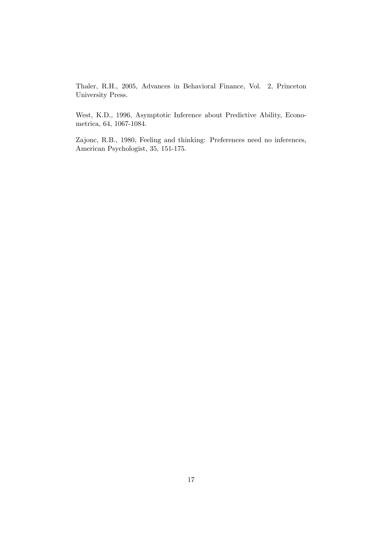Thaler, R.H., 2005, Advances in Behavioral Finance, Vol. 2, Princeton University Press.

West, K.D., 1996, Asymptotic Inference about Predictive Ability, Econometrica, 64, 1067-1084.

Zajonc, R.B., 1980, Feeling and thinking: Preferences need no inferences, American Psychologist, 35, 151-175.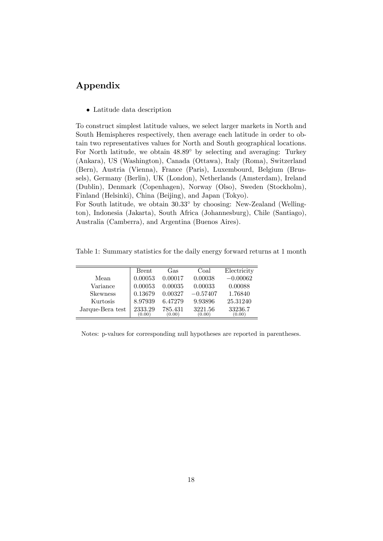# Appendix

Latitude data description

To construct simplest latitude values, we select larger markets in North and South Hemispheres respectively, then average each latitude in order to obtain two representatives values for North and South geographical locations. For North latitude, we obtain  $48.89^{\circ}$  by selecting and averaging: Turkey (Ankara), US (Washington), Canada (Ottawa), Italy (Roma), Switzerland (Bern), Austria (Vienna), France (Paris), Luxembourd, Belgium (Brussels), Germany (Berlin), UK (London), Netherlands (Amsterdam), Ireland (Dublin), Denmark (Copenhagen), Norway (Olso), Sweden (Stockholm), Finland (Helsinki), China (Beijing), and Japan (Tokyo).

For South latitude, we obtain  $30.33^{\circ}$  by choosing: New-Zealand (Wellington), Indonesia (Jakarta), South Africa (Johannesburg), Chile (Santiago), Australia (Camberra), and Argentina (Buenos Aires).

<span id="page-18-0"></span>Table 1: Summary statistics for the daily energy forward returns at 1 month

|                  | Brent   | Gas     | Coal       | Electricity |
|------------------|---------|---------|------------|-------------|
| Mean             | 0.00053 | 0.00017 | 0.00038    | $-0.00062$  |
| Variance         | 0.00053 | 0.00035 | 0.00033    | 0.00088     |
| <b>Skewness</b>  | 0.13679 | 0.00327 | $-0.57407$ | 1.76840     |
| Kurtosis         | 8.97939 | 6.47279 | 9.93896    | 25.31240    |
| Jarque-Bera test | 2333.29 | 785.431 | 3221.56    | 33236.7     |
|                  | (0.00)  | (0.00)  | (0.00)     | (0.00)      |

Notes: p-values for corresponding null hypotheses are reported in parentheses.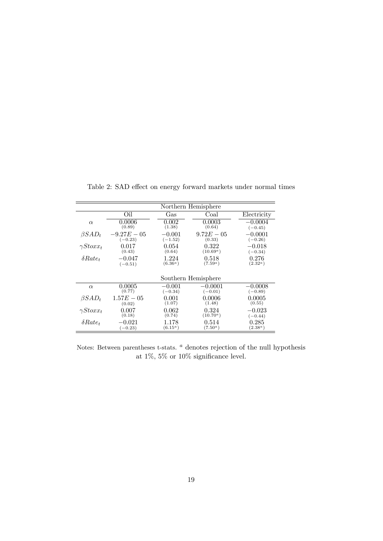|                  | Northern Hemisphere |            |               |             |  |  |
|------------------|---------------------|------------|---------------|-------------|--|--|
|                  | Oil                 | Gas        | Coal          | Electricity |  |  |
| $\alpha$         | 0.0006              | 0.002      | $\, 0.0003\,$ | $-0.0004$   |  |  |
|                  | (0.89)              | (1.38)     | (0.64)        | $(-0.45)$   |  |  |
| $\beta SAD_t$    | $-9.27E - 05$       | $-0.001$   | $9.72E - 0.5$ | $-0.0001$   |  |  |
|                  | $(-0.23)$           | $(-1.52)$  | (0.33)        | $(-0.26)$   |  |  |
| $\gamma Stoxx_t$ | 0.017               | 0.054      | 0.322         | $-0.018$    |  |  |
|                  | (0.43)              | (0.64)     | $(10.69^a)$   | $(-0.34)$   |  |  |
| $\delta Rate_t$  | $-0.047$            | 1.224      | 0.518         | 0.276       |  |  |
|                  | $(-0.51)$           | $(6.36^a)$ | $(7.59^a)$    | $(2.32^a)$  |  |  |
|                  | Southern Hemisphere |            |               |             |  |  |
| $\alpha$         | 0.0005              | $-0.001$   | $-0.0001$     | $-0.0008$   |  |  |
|                  | (0.77)              | $(-0.34)$  | $(-0.01)$     | $(-0.89)$   |  |  |
| $\beta SAD_t$    | $1.57E - 0.5$       | 0.001      | 0.0006        | 0.0005      |  |  |
|                  | (0.02)              | (1.07)     | (1.48)        | (0.55)      |  |  |
| $\gamma Stoxx_t$ | 0.007               | 0.062      | 0.324         | $-0.023$    |  |  |
|                  | (0.18)              | (0.74)     | $(10.70^a)$   | $(-0.44)$   |  |  |
| $\delta Rate_t$  | $-0.021$            | 1.178      | 0.514         | 0.285       |  |  |
|                  | $(-0.23)$           | $(6.15^a)$ | $(7.50^a)$    | $(2.38^a)$  |  |  |

<span id="page-19-0"></span>Table 2: SAD effect on energy forward markets under normal times

Notes: Between parentheses t-stats.  $^a$  denotes rejection of the null hypothesis at 1%, 5% or 10% significance level.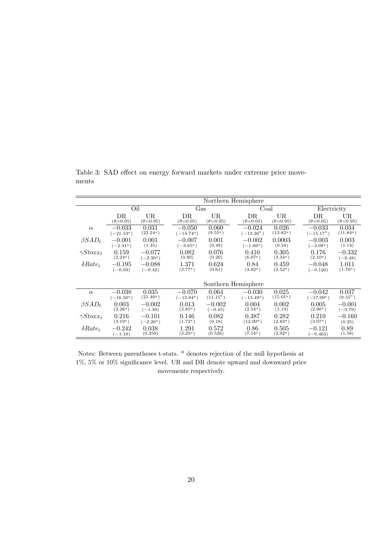Northern Hemisphere Oil Gas Coal Electricity DR  $(\theta=0.05)$  $\mathop{\text{UR}}\limits_{(\theta=0.95)}$ DR  $(\theta=0.05)$  $\mathop{\text{UR}}\limits_{(\theta=0.95)}$  $\text{DR}$ <sub>( $\theta$ =0.05)</sub>  $\mathop{\text{UR}}\limits_{(\theta=0.95)}$  $\text{DR}$ <sub>( $\theta$ =0.05)</sub>  $\mathop{\text{UR}}\limits_{(\theta=0.95)}$  $\alpha$   $-0.033$  $(-21.53^a)$ <br>-0.001  $(0.031)$ <br> $(22.24)$  $-0.050$  $(-14.74)$  $(9.55<sup>a</sup>)$  $-0.024$  $(-13.26^a\,)$  $(13.82)$  $-0.033$  $\left(-15.17^a\right)$  $(0.034$ <sub>(11.84<sup>a</sup>)</sub>  $\beta SAD_t$  $\frac{(-2.31^a)}{0.159}$  $(0.001)$ <br> $(1.45)$  $-0.007$  $(-3.65^a)$  $(0.001)$  $-0.002$  $(-1.69^a)$ 0:0003 (0:34)  $-0.003$  $(-3.08^a)$ 0:003  $(1.14)$  $\gamma Stoxx_t$  $(2.24^a)$  $-0.077$  $(-2.30^a)$ 0:082  $(0.80)$ 0:076  $(0.20)$ 0:410  $(6.07^a)$  $(3.34)$ 0:176  $(2.10<sup>a</sup>)$  $-0.332$  $(-0.48)$  $\delta Rate_t$  -0.195  $(-0.93)$  $-0.088$  $(-0.42)$  $\frac{1.371}{(3.77^a)}$ 0:624  $(0.61)$  $\frac{0.84}{(4.82^a)}$  $(2.52<sup>a</sup>)$  $-0.048$  $(-0.120)$ 1:011  $(1.76^a)$ Southern Hemisphere  $\alpha$  -0.038  $\frac{(-16.50^a)}{0.003}$  $(0.035)$ <br> $(21.40<sup>a</sup>)$  $-0.070$ <br> $(-13.84)$  $0.064$ <br>(11.15<sup>a</sup>)  $-0.030$  $(-13.49^a)$  $(15.01^a)$  $-0.042$  $(-17.09^a)$  $(9.55^a)$  $\beta SAD_t$  $(2.26^a)$  $-0.002$  $(-1.39)$ 0:013  $(3.85^a)$  $-0.002$ <br>(-0.45)  $(0.004)(2.54<sup>a</sup>)$ 0:002  $(1.19)$ 0:005  $(2.90<sup>a</sup>)$  $-0.001$  $(-0.79)$  $\gamma Stoxx_t$  $\frac{0.216}{(3.19^a)}$  $-0.101$  $(-2.26^a)$  $(1.72<sup>a</sup>)$  $(0.082)$  $\frac{0.387}{(12.00^a)}$  $(2.83<sup>a</sup>)$  $\frac{0.210}{(3.07^a)}$  $-0.160$  $(0.25)$  $\delta Rate_t$  -0.242  $(-1.18)$ 0:038 (0:259) 1:291  $(3.25^a)$ 0:572  $(0.526)$  $\frac{0.86}{(7.14^a)}$  $(2.92<sup>a</sup>)$  $-0.121$ <br> $(-0.463)$ 0:89  $(1.58)$ 

<span id="page-20-0"></span>Table 3: SAD effect on energy forward markets under extreme price movements

Notes: Between parentheses t-stats.  $^a$  denotes rejection of the null hypothesis at  $1\%$ , 5% or  $10\%$  significance level. UR and DR denote upward and downward price movements respectively.